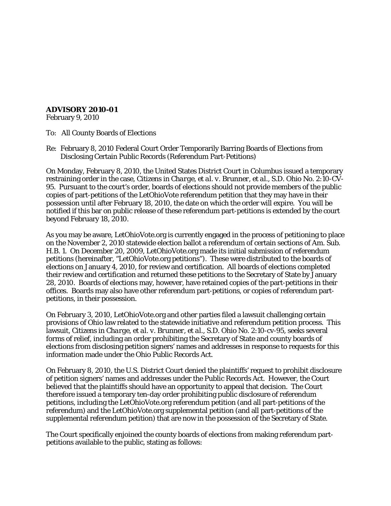## **ADVISORY 2010-01**

February 9, 2010

To: All County Boards of Elections

Re: February 8, 2010 Federal Court Order Temporarily Barring Boards of Elections from Disclosing Certain Public Records (Referendum Part-Petitions)

On Monday, February 8, 2010, the United States District Court in Columbus issued a temporary restraining order in the case, *Citizens in Charge, et al. v. Brunner, et al.*, S.D. Ohio No. 2:10-CV-95. Pursuant to the court's order, boards of elections should not provide members of the public copies of part-petitions of the LetOhioVote referendum petition that they may have in their possession until after February 18, 2010, the date on which the order will expire. You will be notified if this bar on public release of these referendum part-petitions is extended by the court beyond February 18, 2010.

As you may be aware, LetOhioVote.org is currently engaged in the process of petitioning to place on the November 2, 2010 statewide election ballot a referendum of certain sections of Am. Sub. H.B. 1. On December 20, 2009, LetOhioVote.org made its initial submission of referendum petitions (hereinafter, "LetOhioVote.org petitions"). These were distributed to the boards of elections on January 4, 2010, for review and certification. All boards of elections completed their review and certification and returned these petitions to the Secretary of State by January 28, 2010. Boards of elections may, however, have retained copies of the part-petitions in their offices. Boards may also have other referendum part-petitions, or copies of referendum partpetitions, in their possession.

On February 3, 2010, LetOhioVote.org and other parties filed a lawsuit challenging certain provisions of Ohio law related to the statewide initiative and referendum petition process. This lawsuit, *Citizens in Charge, et al. v. Brunner, et al.*, S.D. Ohio No. 2:10-cv-95, seeks several forms of relief, including an order prohibiting the Secretary of State and county boards of elections from disclosing petition signers' names and addresses in response to requests for this information made under the Ohio Public Records Act.

On February 8, 2010, the U.S. District Court denied the plaintiffs' request to prohibit disclosure of petition signers' names and addresses under the Public Records Act. However, the Court believed that the plaintiffs should have an opportunity to appeal that decision. The Court therefore issued a temporary ten-day order prohibiting public disclosure of referendum petitions, including the LetOhioVote.org referendum petition (and all part-petitions of the referendum) and the LetOhioVote.org supplemental petition (and all part-petitions of the supplemental referendum petition) that are now in the possession of the Secretary of State.

The Court specifically enjoined the county boards of elections from making referendum partpetitions available to the public, stating as follows: